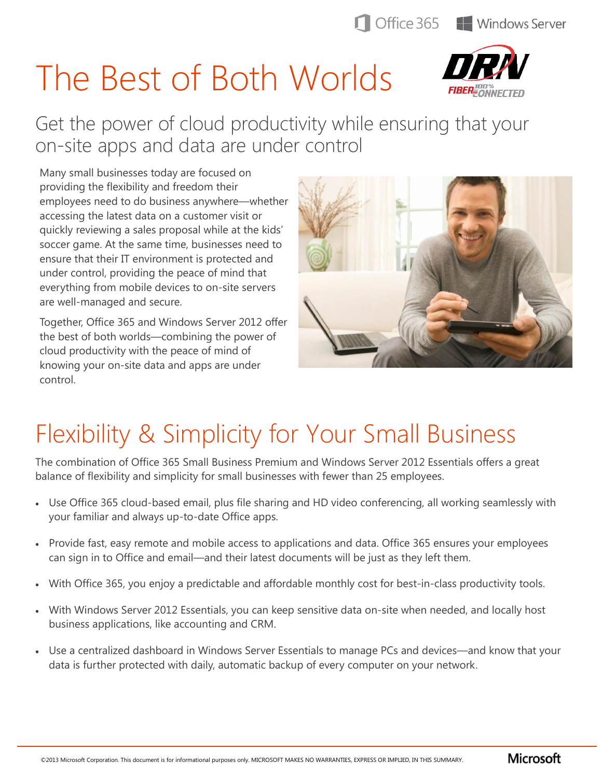# The Best of Both Worlds



Get the power of cloud productivity while ensuring that your on-site apps and data are under control

Many small businesses today are focused on providing the flexibility and freedom their employees need to do business anywhere—whether accessing the latest data on a customer visit or quickly reviewing a sales proposal while at the kids' soccer game. At the same time, businesses need to ensure that their IT environment is protected and under control, providing the peace of mind that everything from mobile devices to on-site servers are well-managed and secure.

Together, Office 365 and Windows Server 2012 offer the best of both worlds—combining the power of cloud productivity with the peace of mind of knowing your on-site data and apps are under control.



## Flexibility & Simplicity for Your Small Business

The combination of Office 365 Small Business Premium and Windows Server 2012 Essentials offers a great balance of flexibility and simplicity for small businesses with fewer than 25 employees.

- Use Office 365 cloud-based email, plus file sharing and HD video conferencing, all working seamlessly with your familiar and always up-to-date Office apps.
- Provide fast, easy remote and mobile access to applications and data. Office 365 ensures your employees can sign in to Office and email—and their latest documents will be just as they left them.
- With Office 365, you enjoy a predictable and affordable monthly cost for best-in-class productivity tools.
- With Windows Server 2012 Essentials, you can keep sensitive data on-site when needed, and locally host business applications, like accounting and CRM.
- Use a centralized dashboard in Windows Server Essentials to manage PCs and devices—and know that your data is further protected with daily, automatic backup of every computer on your network.